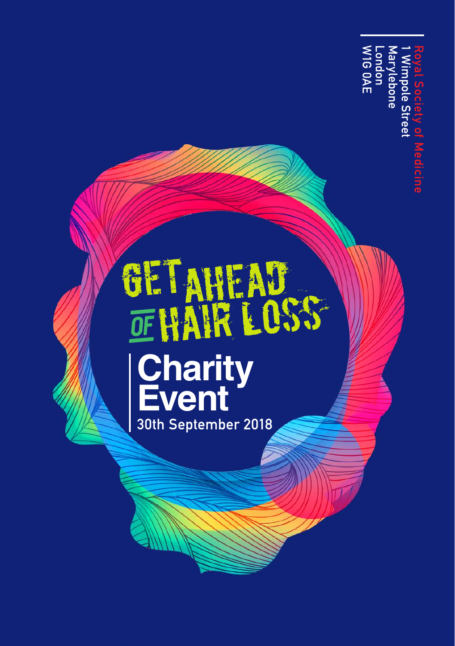Marylebone<br>London<br>W1G 0AE W1G 0AE Marylebone 1 Wimpole Street Royal Society of MedicineVimpole Stree

## GETAHEAD **Charity Event** 30th September 2018